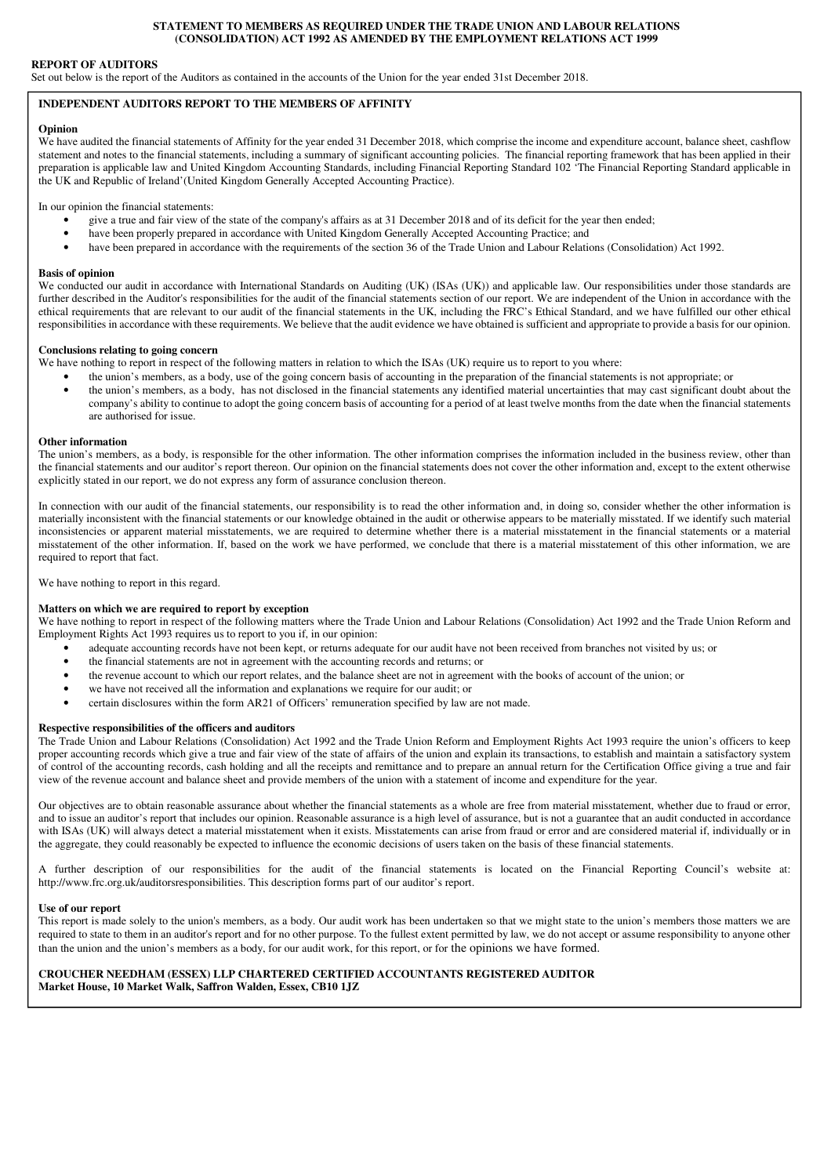## **STATEMENT TO MEMBERS AS REQUIRED UNDER THE TRADE UNION AND LABOUR RELATIONS (CONSOLIDATION) ACT 1992 AS AMENDED BY THE EMPLOYMENT RELATIONS ACT 1999**

## **REPORT OF AUDITORS**

Set out below is the report of the Auditors as contained in the accounts of the Union for the year ended 31st December 2018.

# **INDEPENDENT AUDITORS REPORT TO THE MEMBERS OF AFFINITY**

### **Opinion**

We have audited the financial statements of Affinity for the year ended 31 December 2018, which comprise the income and expenditure account, balance sheet, cashflow statement and notes to the financial statements, including a summary of significant accounting policies. The financial reporting framework that has been applied in their preparation is applicable law and United Kingdom Accounting Standards, including Financial Reporting Standard 102 'The Financial Reporting Standard applicable in the UK and Republic of Ireland'(United Kingdom Generally Accepted Accounting Practice).

In our opinion the financial statements:

- give a true and fair view of the state of the company's affairs as at 31 December 2018 and of its deficit for the year then ended;
- have been properly prepared in accordance with United Kingdom Generally Accepted Accounting Practice; and
- have been prepared in accordance with the requirements of the section 36 of the Trade Union and Labour Relations (Consolidation) Act 1992.

### **Basis of opinion**

We conducted our audit in accordance with International Standards on Auditing (UK) (ISAs (UK)) and applicable law. Our responsibilities under those standards are further described in the Auditor's responsibilities for the audit of the financial statements section of our report. We are independent of the Union in accordance with the ethical requirements that are relevant to our audit of the financial statements in the UK, including the FRC's Ethical Standard, and we have fulfilled our other ethical responsibilities in accordance with these requirements. We believe that the audit evidence we have obtained is sufficient and appropriate to provide a basis for our opinion.

#### **Conclusions relating to going concern**

- We have nothing to report in respect of the following matters in relation to which the ISAs (UK) require us to report to you where:
	- the union's members, as a body, use of the going concern basis of accounting in the preparation of the financial statements is not appropriate; or
	- the union's members, as a body, has not disclosed in the financial statements any identified material uncertainties that may cast significant doubt about the company's ability to continue to adopt the going concern basis of accounting for a period of at least twelve months from the date when the financial statements are authorised for issue.

## **Other information**

The union's members, as a body, is responsible for the other information. The other information comprises the information included in the business review, other than the financial statements and our auditor's report thereon. Our opinion on the financial statements does not cover the other information and, except to the extent otherwise explicitly stated in our report, we do not express any form of assurance conclusion thereon.

In connection with our audit of the financial statements, our responsibility is to read the other information and, in doing so, consider whether the other information is materially inconsistent with the financial statements or our knowledge obtained in the audit or otherwise appears to be materially misstated. If we identify such material inconsistencies or apparent material misstatements, we are required to determine whether there is a material misstatement in the financial statements or a material misstatement of the other information. If, based on the work we have performed, we conclude that there is a material misstatement of this other information, we are required to report that fact.

We have nothing to report in this regard.

# **Matters on which we are required to report by exception**

We have nothing to report in respect of the following matters where the Trade Union and Labour Relations (Consolidation) Act 1992 and the Trade Union Reform and Employment Rights Act 1993 requires us to report to you if, in our opinion:

- adequate accounting records have not been kept, or returns adequate for our audit have not been received from branches not visited by us; or
- the financial statements are not in agreement with the accounting records and returns; or
- the revenue account to which our report relates, and the balance sheet are not in agreement with the books of account of the union; or
- we have not received all the information and explanations we require for our audit; or
- certain disclosures within the form AR21 of Officers' remuneration specified by law are not made.

### **Respective responsibilities of the officers and auditors**

The Trade Union and Labour Relations (Consolidation) Act 1992 and the Trade Union Reform and Employment Rights Act 1993 require the union's officers to keep proper accounting records which give a true and fair view of the state of affairs of the union and explain its transactions, to establish and maintain a satisfactory system of control of the accounting records, cash holding and all the receipts and remittance and to prepare an annual return for the Certification Office giving a true and fair view of the revenue account and balance sheet and provide members of the union with a statement of income and expenditure for the year.

Our objectives are to obtain reasonable assurance about whether the financial statements as a whole are free from material misstatement, whether due to fraud or error, and to issue an auditor's report that includes our opinion. Reasonable assurance is a high level of assurance, but is not a guarantee that an audit conducted in accordance with ISAs (UK) will always detect a material misstatement when it exists. Misstatements can arise from fraud or error and are considered material if, individually or in the aggregate, they could reasonably be expected to influence the economic decisions of users taken on the basis of these financial statements.

A further description of our responsibilities for the audit of the financial statements is located on the Financial Reporting Council's website at: http://www.frc.org.uk/auditorsresponsibilities. This description forms part of our auditor's report.

#### **Use of our report**

This report is made solely to the union's members, as a body. Our audit work has been undertaken so that we might state to the union's members those matters we are required to state to them in an auditor's report and for no other purpose. To the fullest extent permitted by law, we do not accept or assume responsibility to anyone other than the union and the union's members as a body, for our audit work, for this report, or for the opinions we have formed.

## **CROUCHER NEEDHAM (ESSEX) LLP CHARTERED CERTIFIED ACCOUNTANTS REGISTERED AUDITOR Market House, 10 Market Walk, Saffron Walden, Essex, CB10 1JZ**